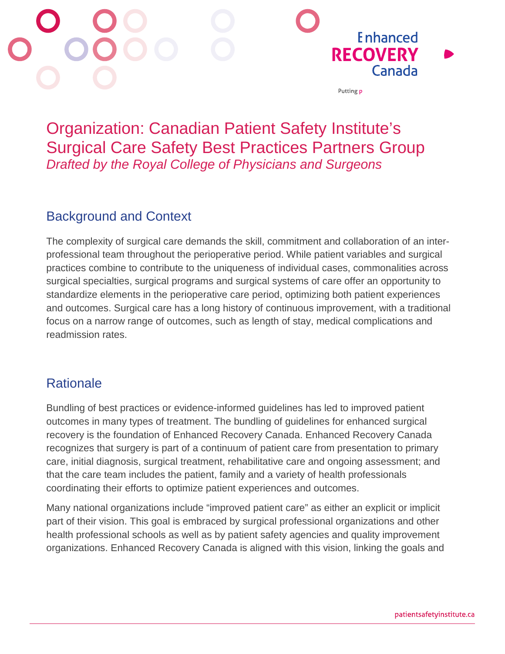

# Organization: Canadian Patient Safety Institute's Surgical Care Safety Best Practices Partners Group *Drafted by the Royal College of Physicians and Surgeons*

## Background and Context

The complexity of surgical care demands the skill, commitment and collaboration of an interprofessional team throughout the perioperative period. While patient variables and surgical practices combine to contribute to the uniqueness of individual cases, commonalities across surgical specialties, surgical programs and surgical systems of care offer an opportunity to standardize elements in the perioperative care period, optimizing both patient experiences and outcomes. Surgical care has a long history of continuous improvement, with a traditional focus on a narrow range of outcomes, such as length of stay, medical complications and readmission rates.

## **Rationale**

Bundling of best practices or evidence-informed guidelines has led to improved patient outcomes in many types of treatment. The bundling of guidelines for enhanced surgical recovery is the foundation of Enhanced Recovery Canada. Enhanced Recovery Canada recognizes that surgery is part of a continuum of patient care from presentation to primary care, initial diagnosis, surgical treatment, rehabilitative care and ongoing assessment; and that the care team includes the patient, family and a variety of health professionals coordinating their efforts to optimize patient experiences and outcomes.

Many national organizations include "improved patient care" as either an explicit or implicit part of their vision. This goal is embraced by surgical professional organizations and other health professional schools as well as by patient safety agencies and quality improvement organizations. Enhanced Recovery Canada is aligned with this vision, linking the goals and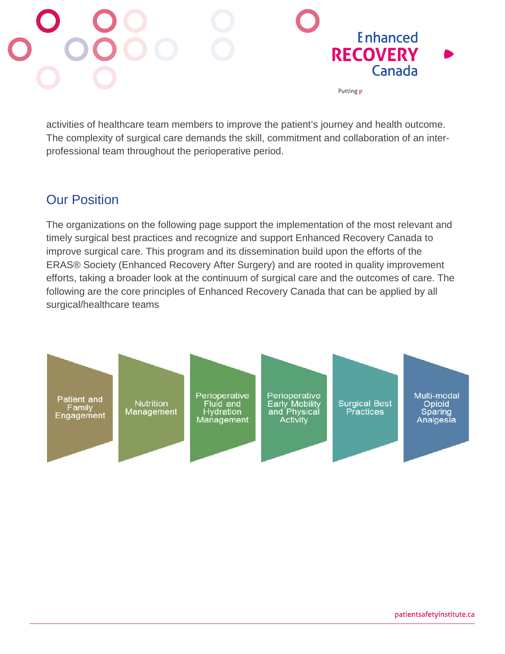

activities of healthcare team members to improve the patient's journey and health outcome. The complexity of surgical care demands the skill, commitment and collaboration of an interprofessional team throughout the perioperative period.

#### Our Position

The organizations on the following page support the implementation of the most relevant and timely surgical best practices and recognize and support Enhanced Recovery Canada to improve surgical care. This program and its dissemination build upon the efforts of the ERAS® Society (Enhanced Recovery After Surgery) and are rooted in quality improvement efforts, taking a broader look at the continuum of surgical care and the outcomes of care. The following are the core principles of Enhanced Recovery Canada that can be applied by all surgical/healthcare teams